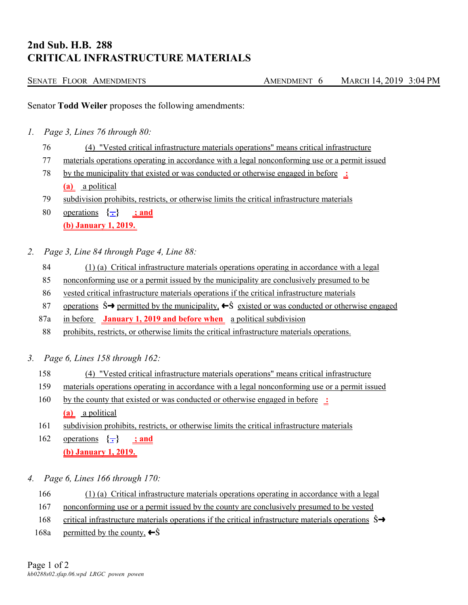## **2nd Sub. H.B. 288 CRITICAL INFRASTRUCTURE MATERIALS**

| SENATE FLOOR AMENDMENTS | AMENDMENT 6 | MARCH 14, 2019 3:04 PM |
|-------------------------|-------------|------------------------|
|                         |             |                        |

Senator **Todd Weiler** proposes the following amendments:

- *1. Page 3, Lines 76 through 80:*
	- 76 (4) "Vested critical infrastructure materials operations" means critical infrastructure
	- 77 materials operations operating in accordance with a legal nonconforming use or a permit issued
	- 78 by the municipality that existed or was conducted or otherwise engaged in before **: (a)** a political
	- 79 subdivision prohibits, restricts, or otherwise limits the critical infrastructure materials
	- 80 operations  $\{\textcolor{red}{\div}\}$  ; and **(b) January 1, 2019.**
- *2. Page 3, Line 84 through Page 4, Line 88:*
	- 84 (1) (a) Critical infrastructure materials operations operating in accordance with a legal
	- 85 nonconforming use or a permit issued by the municipality are conclusively presumed to be
	- 86 vested critical infrastructure materials operations if the critical infrastructure materials
	- 87 operations  $\hat{S} \rightarrow$  permitted by the municipality,  $\leftarrow \hat{S}$  existed or was conducted or otherwise engaged
	- 87a in before **January 1, 2019 and before when** a political subdivision
	- 88 prohibits, restricts, or otherwise limits the critical infrastructure materials operations.
- *3. Page 6, Lines 158 through 162:*
	- 158 (4) "Vested critical infrastructure materials operations" means critical infrastructure
	- 159 materials operations operating in accordance with a legal nonconforming use or a permit issued
	- 160 by the county that existed or was conducted or otherwise engaged in before **: (a)** a political
	- 161 subdivision prohibits, restricts, or otherwise limits the critical infrastructure materials
	- 162 operations  $\{\text{-}\}$  ; and **(b) January 1, 2019.**
- *4. Page 6, Lines 166 through 170:*
	- 166 (1) (a) Critical infrastructure materials operations operating in accordance with a legal
	- 167 nonconforming use or a permit issued by the county are conclusively presumed to be vested
	- 168 critical infrastructure materials operations if the critical infrastructure materials operations  $\hat{S} \rightarrow$
	- 168a permitted by the county,  $\leftarrow \hat{S}$